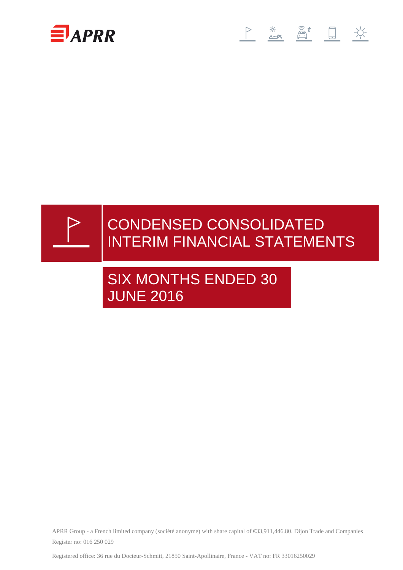





SIX MONTHS ENDED 30 JUNE 2016

APRR Group - a French limited company (société anonyme) with share capital of €33,911,446.80. Dijon Trade and Companies Register no: 016 250 029

Registered office: 36 rue du Docteur-Schmitt, 21850 Saint-Apollinaire, France - VAT no: FR 33016250029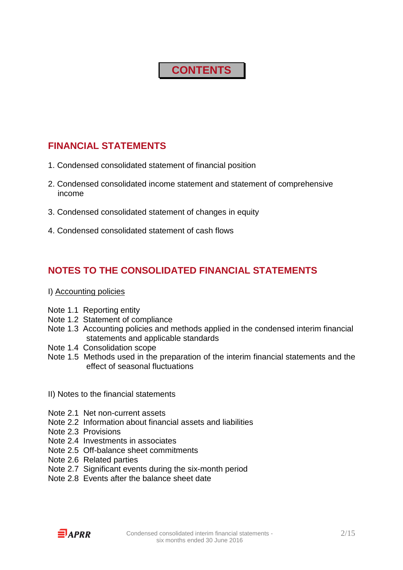# **CONTENTS**

# **FINANCIAL STATEMENTS**

- 1. Condensed consolidated statement of financial position
- 2. Condensed consolidated income statement and statement of comprehensive income
- 3. Condensed consolidated statement of changes in equity
- 4. Condensed consolidated statement of cash flows

# **NOTES TO THE CONSOLIDATED FINANCIAL STATEMENTS**

## I) Accounting policies

- Note 1.1 Reporting entity
- Note 1.2 Statement of compliance
- Note 1.3 Accounting policies and methods applied in the condensed interim financial statements and applicable standards
- Note 1.4 Consolidation scope
- Note 1.5 Methods used in the preparation of the interim financial statements and the effect of seasonal fluctuations
- II) Notes to the financial statements
- Note 2.1 Net non-current assets
- Note 2.2 Information about financial assets and liabilities
- Note 2.3 Provisions
- Note 2.4 Investments in associates
- Note 2.5 Off-balance sheet commitments
- Note 2.6 Related parties
- Note 2.7 Significant events during the six-month period
- Note 2.8 Events after the balance sheet date

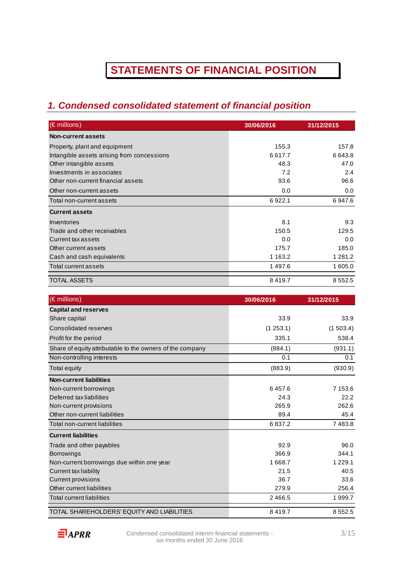# **STATEMENTS OF FINANCIAL POSITION**

# **1. Condensed consolidated statement of financial position**

| $(\epsilon$ millions)                      | 30/06/2016  | 31/12/2015  |
|--------------------------------------------|-------------|-------------|
| Non-current assets                         |             |             |
| Property, plant and equipment              | 155.3       | 157.8       |
| Intangible assets arising from concessions | 6617.7      | 6643.8      |
| Other intangible assets                    | 48.3        | 47.0        |
| Investments in associates                  | 7.2         | 2.4         |
| Other non-current financial assets         | 93.6        | 96.6        |
| Other non-current assets                   | 0.0         | 0.0         |
| Total non-current assets                   | 6922.1      | 6947.6      |
| <b>Current assets</b>                      |             |             |
| Inventories                                | 8.1         | 9.3         |
| Trade and other receivables                | 150.5       | 129.5       |
| Current tax assets                         | 0.0         | 0.0         |
| Other current assets                       | 175.7       | 185.0       |
| Cash and cash equivalents                  | 1 1 6 3 . 2 | 1 2 8 1 . 2 |
| Total current assets                       | 1497.6      | 1 605.0     |
| <b>TOTAL ASSETS</b>                        | 8419.7      | 8 5 5 2.5   |
| $(E \text{ million})$                      | 2010GM04G   | 2111212015  |

| (€ millions)                                              | 30/06/2016 | 31/12/2015  |
|-----------------------------------------------------------|------------|-------------|
| <b>Capital and reserves</b>                               |            |             |
| Share capital                                             | 33.9       | 33.9        |
| Consolidated reserves                                     | (1253.1)   | (1503.4)    |
| Profit for the period                                     | 335.1      | 538.4       |
| Share of equity attributable to the owners of the company | (884.1)    | (931.1)     |
| Non-controlling interests                                 | 0.1        | 0.1         |
| Total equity                                              | (883.9)    | (930.9)     |
| <b>Non-current liabilities</b>                            |            |             |
| Non-current borrowings                                    | 6457.6     | 7 153.6     |
| Deferred tax liabilities                                  | 24.3       | 22.2        |
| Non-current provisions                                    | 265.9      | 262.6       |
| Other non-current liabilities                             | 89.4       | 45.4        |
| Total non-current liabilities                             | 6837.2     | 7483.8      |
| <b>Current liabilities</b>                                |            |             |
| Trade and other payables                                  | 92.9       | 96.0        |
| <b>Borrowings</b>                                         | 366.9      | 344.1       |
| Non-current borrowings due within one year                | 1668.7     | 1 2 2 9 . 1 |
| <b>Current tax liability</b>                              | 21.5       | 40.5        |
| <b>Current provisions</b>                                 | 36.7       | 33.6        |
| Other current liabilities                                 | 279.9      | 256.4       |
| <b>Total current liabilities</b>                          | 2 4 6 6.5  | 1 999.7     |
| TOTAL SHAREHOLDERS' EQUITY AND LIABILITIES                | 8419.7     | 8 5 5 2.5   |

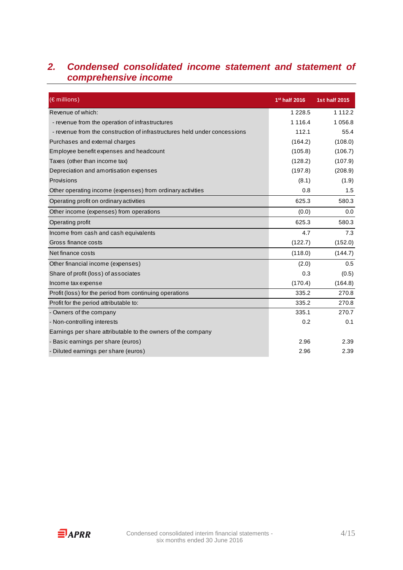# **2. Condensed consolidated income statement and statement of comprehensive income**

| (€ millions)                                                              | 1 <sup>st</sup> half 2016 | <b>1st half 2015</b> |
|---------------------------------------------------------------------------|---------------------------|----------------------|
| Revenue of which:                                                         | 1 2 2 8 .5                | 1 1 1 2 . 2          |
| - revenue from the operation of infrastructures                           | 1 1 1 6 .4                | 1 0 5 6.8            |
| - revenue from the construction of infrastructures held under concessions | 112.1                     | 55.4                 |
| Purchases and external charges                                            | (164.2)                   | (108.0)              |
| Employee benefit expenses and headcount                                   | (105.8)                   | (106.7)              |
| Taxes (other than income tax)                                             | (128.2)                   | (107.9)              |
| Depreciation and amortisation expenses                                    | (197.8)                   | (208.9)              |
| Provisions                                                                | (8.1)                     | (1.9)                |
| Other operating income (expenses) from ordinary activities                | 0.8                       | 1.5                  |
| Operating profit on ordinary activities                                   | 625.3                     | 580.3                |
| Other income (expenses) from operations                                   | (0.0)                     | 0.0                  |
| Operating profit                                                          | 625.3                     | 580.3                |
| Income from cash and cash equivalents                                     | 4.7                       | 7.3                  |
| Gross finance costs                                                       | (122.7)                   | (152.0)              |
| Net finance costs                                                         | (118.0)                   | (144.7)              |
| Other financial income (expenses)                                         | (2.0)                     | 0.5                  |
| Share of profit (loss) of associates                                      | 0.3                       | (0.5)                |
| Income tax expense                                                        | (170.4)                   | (164.8)              |
| Profit (loss) for the period from continuing operations                   | 335.2                     | 270.8                |
| Profit for the period attributable to:                                    | 335.2                     | 270.8                |
| - Owners of the company                                                   | 335.1                     | 270.7                |
| - Non-controlling interests                                               | 0.2                       | 0.1                  |
| Earnings per share attributable to the owners of the company              |                           |                      |
| - Basic earnings per share (euros)                                        | 2.96                      | 2.39                 |
| - Diluted earnings per share (euros)                                      | 2.96                      | 2.39                 |

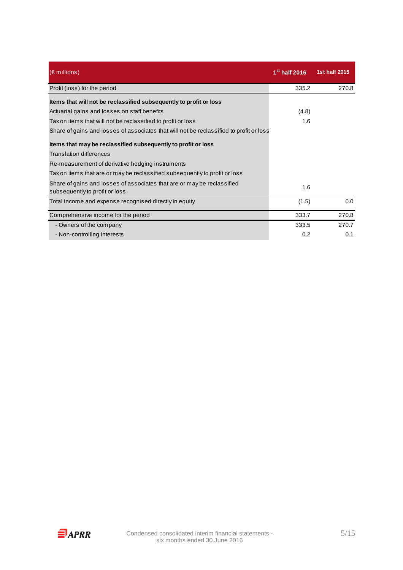| $(\epsilon$ millions)                                                                                     | $1st$ half 2016 | 1st half 2015 |
|-----------------------------------------------------------------------------------------------------------|-----------------|---------------|
| Profit (loss) for the period                                                                              | 335.2           | 270.8         |
| Items that will not be reclassified subsequently to profit or loss                                        |                 |               |
| Actuarial gains and losses on staff benefits                                                              | (4.8)           |               |
| Tax on items that will not be reclassified to profit or loss                                              | 1.6             |               |
| Share of gains and losses of associates that will not be reclassified to profit or loss                   |                 |               |
| Items that may be reclassified subsequently to profit or loss                                             |                 |               |
| <b>Translation differences</b>                                                                            |                 |               |
| Re-measurement of derivative hedging instruments                                                          |                 |               |
| Tax on items that are or may be reclassified subsequently to profit or loss                               |                 |               |
| Share of gains and losses of associates that are or may be reclassified<br>subsequently to profit or loss | 1.6             |               |
| Total income and expense recognised directly in equity                                                    | (1.5)           | 0.0           |
| Comprehensive income for the period                                                                       | 333.7           | 270.8         |
| - Owners of the company                                                                                   | 333.5           | 270.7         |
| - Non-controlling interests                                                                               | 0.2             | 0.1           |

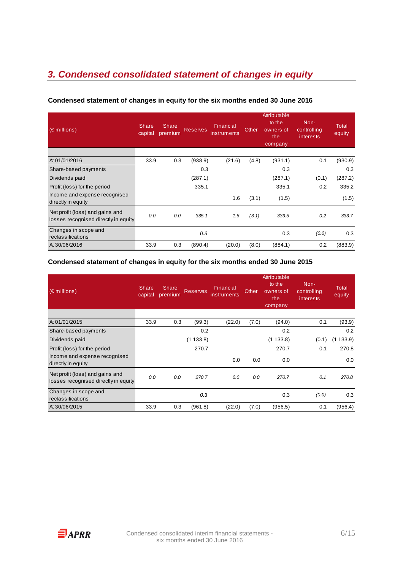# **3. Condensed consolidated statement of changes in equity**

| $(\in$ millions)                                                        | <b>Share</b><br>capital | <b>Share</b><br>premium | <b>Reserves</b> | Financial<br>instruments | <b>Other</b> | Attributable<br>to the<br>owners of<br>the<br>company | Non-<br>controlling<br><i>interests</i> | <b>Total</b><br>equity |
|-------------------------------------------------------------------------|-------------------------|-------------------------|-----------------|--------------------------|--------------|-------------------------------------------------------|-----------------------------------------|------------------------|
| At 01/01/2016                                                           | 33.9                    | 0.3                     | (938.9)         | (21.6)                   | (4.8)        | (931.1)                                               | 0.1                                     | (930.9)                |
| Share-based payments                                                    |                         |                         | 0.3             |                          |              | 0.3                                                   |                                         | 0.3                    |
| Dividends paid                                                          |                         |                         | (287.1)         |                          |              | (287.1)                                               | (0.1)                                   | (287.2)                |
| Profit (loss) for the period                                            |                         |                         | 335.1           |                          |              | 335.1                                                 | 0.2                                     | 335.2                  |
| Income and expense recognised<br>directly in equity                     |                         |                         |                 | 1.6                      | (3.1)        | (1.5)                                                 |                                         | (1.5)                  |
| Net profit (loss) and gains and<br>losses recognised directly in equity | 0.0                     | 0.0                     | 335.1           | 1.6                      | (3.1)        | 333.5                                                 | 0.2                                     | 333.7                  |
| Changes in scope and<br>reclassifications                               |                         |                         | 0.3             |                          |              | 0.3                                                   | (0.0)                                   | 0.3                    |
| At 30/06/2016                                                           | 33.9                    | 0.3                     | (890.4)         | (20.0)                   | (8.0)        | (884.1)                                               | 0.2                                     | (883.9)                |

### **Condensed statement of changes in equity for the six months ended 30 June 2016**

#### **Condensed statement of changes in equity for the six months ended 30 June 2015**

| $(\epsilon$ millions)                                                   | <b>Share</b><br>capital | Share<br>premium | <b>Reserves</b> | Financial<br>instruments | <b>Other</b> | Attributable<br>to the<br>owners of<br>the<br>company | Non-<br>controlling<br><i>interests</i> | Total<br>equity |
|-------------------------------------------------------------------------|-------------------------|------------------|-----------------|--------------------------|--------------|-------------------------------------------------------|-----------------------------------------|-----------------|
| At 01/01/2015                                                           | 33.9                    | 0.3              | (99.3)          | (22.0)                   | (7.0)        | (94.0)                                                | 0.1                                     | (93.9)          |
| Share-based payments                                                    |                         |                  | 0.2             |                          |              | 0.2                                                   |                                         | 0.2             |
| Dividends paid                                                          |                         |                  | (1133.8)        |                          |              | (1133.8)                                              | (0.1)                                   | 133.9<br>(1)    |
| Profit (loss) for the period                                            |                         |                  | 270.7           |                          |              | 270.7                                                 | 0.1                                     | 270.8           |
| Income and expense recognised<br>directly in equity                     |                         |                  |                 | 0.0                      | 0.0          | 0.0                                                   |                                         | 0.0             |
| Net profit (loss) and gains and<br>losses recognised directly in equity | 0.0                     | 0.0              | 270.7           | 0.0                      | 0.0          | 270.7                                                 | 0.1                                     | 270.8           |
| Changes in scope and<br>reclassifications                               |                         |                  | 0.3             |                          |              | 0.3                                                   | (0.0)                                   | 0.3             |
| At 30/06/2015                                                           | 33.9                    | 0.3              | (961.8)         | (22.0)                   | (7.0)        | (956.5)                                               | 0.1                                     | (956.4)         |

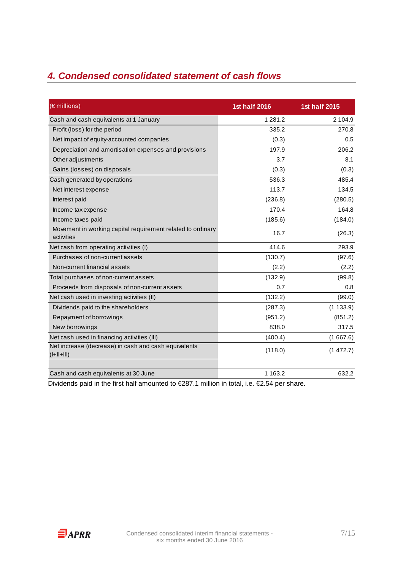# **4. Condensed consolidated statement of cash flows**

| (€ millions)                                                              | 1st half 2016 | 1st half 2015 |
|---------------------------------------------------------------------------|---------------|---------------|
| Cash and cash equivalents at 1 January                                    | 1 2 8 1 . 2   | 2 104.9       |
| Profit (loss) for the period                                              | 335.2         | 270.8         |
| Net impact of equity-accounted companies                                  | (0.3)         | 0.5           |
| Depreciation and amortisation expenses and provisions                     | 197.9         | 206.2         |
| Other adjustments                                                         | 3.7           | 8.1           |
| Gains (losses) on disposals                                               | (0.3)         | (0.3)         |
| Cash generated by operations                                              | 536.3         | 485.4         |
| Net interest expense                                                      | 113.7         | 134.5         |
| Interest paid                                                             | (236.8)       | (280.5)       |
| Income tax expense                                                        | 170.4         | 164.8         |
| Income taxes paid                                                         | (185.6)       | (184.0)       |
| Movement in working capital requirement related to ordinary<br>activities | 16.7          | (26.3)        |
| Net cash from operating activities (I)                                    | 414.6         | 293.9         |
| Purchases of non-current assets                                           | (130.7)       | (97.6)        |
| Non-current financial assets                                              | (2.2)         | (2.2)         |
| Total purchases of non-current assets                                     | (132.9)       | (99.8)        |
| Proceeds from disposals of non-current assets                             | 0.7           | 0.8           |
| Net cash used in investing activities (II)                                | (132.2)       | (99.0)        |
| Dividends paid to the shareholders                                        | (287.3)       | (1133.9)      |
| Repayment of borrowings                                                   | (951.2)       | (851.2)       |
| New borrowings                                                            | 838.0         | 317.5         |
| Net cash used in financing activities (III)                               | (400.4)       | (1667.6)      |
| Net increase (decrease) in cash and cash equivalents<br>$(I+II+III)$      | (118.0)       | (1472.7)      |
| Cash and cash equivalents at 30 June                                      | 1 1 6 3 . 2   | 632.2         |

Dividends paid in the first half amounted to €287.1 million in total, i.e. €2.54 per share.

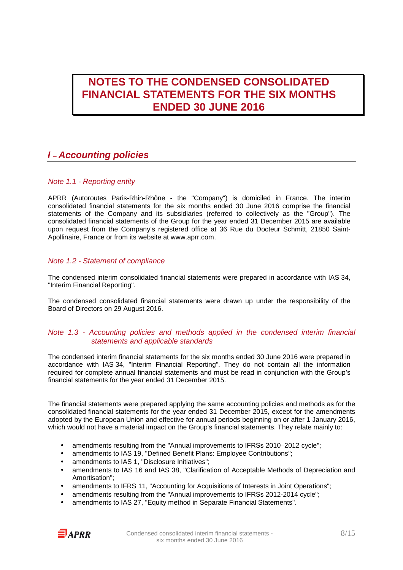# **NOTES TO THE CONDENSED CONSOLIDATED FINANCIAL STATEMENTS FOR THE SIX MONTHS ENDED 30 JUNE 2016**

# **I – Accounting policies**

## Note 1.1 - Reporting entity

APRR (Autoroutes Paris-Rhin-Rhône - the "Company") is domiciled in France. The interim consolidated financial statements for the six months ended 30 June 2016 comprise the financial statements of the Company and its subsidiaries (referred to collectively as the "Group"). The consolidated financial statements of the Group for the year ended 31 December 2015 are available upon request from the Company's registered office at 36 Rue du Docteur Schmitt, 21850 Saint-Apollinaire, France or from its website at www.aprr.com.

## Note 1.2 - Statement of compliance

The condensed interim consolidated financial statements were prepared in accordance with IAS 34, "Interim Financial Reporting".

The condensed consolidated financial statements were drawn up under the responsibility of the Board of Directors on 29 August 2016.

### Note 1.3 - Accounting policies and methods applied in the condensed interim financial statements and applicable standards

The condensed interim financial statements for the six months ended 30 June 2016 were prepared in accordance with IAS 34, "Interim Financial Reporting". They do not contain all the information required for complete annual financial statements and must be read in conjunction with the Group's financial statements for the year ended 31 December 2015.

The financial statements were prepared applying the same accounting policies and methods as for the consolidated financial statements for the year ended 31 December 2015, except for the amendments adopted by the European Union and effective for annual periods beginning on or after 1 January 2016, which would not have a material impact on the Group's financial statements. They relate mainly to:

- amendments resulting from the "Annual improvements to IFRSs 2010-2012 cycle";
- amendments to IAS 19, "Defined Benefit Plans: Employee Contributions";
- amendments to IAS 1, "Disclosure Initiatives";
- amendments to IAS 16 and IAS 38, "Clarification of Acceptable Methods of Depreciation and Amortisation";
- amendments to IFRS 11, "Accounting for Acquisitions of Interests in Joint Operations";
- amendments resulting from the "Annual improvements to IFRSs 2012-2014 cycle";
- amendments to IAS 27, "Equity method in Separate Financial Statements".

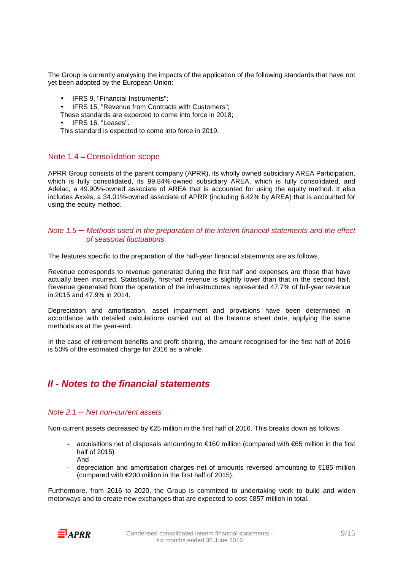The Group is currently analysing the impacts of the application of the following standards that have not yet been adopted by the European Union:

• IFRS 9, "Financial Instruments";

• IFRS 15, "Revenue from Contracts with Customers";

- These standards are expected to come into force in 2018;
- IFRS 16, "Leases".

This standard is expected to come into force in 2019.

## Note 1.4 – Consolidation scope

APRR Group consists of the parent company (APRR), its wholly owned subsidiary AREA Participation, which is fully consolidated, its 99.84%-owned subsidiary AREA, which is fully consolidated, and Adelac, a 49.90%-owned associate of AREA that is accounted for using the equity method. It also includes Axxès, a 34.01%-owned associate of APRR (including 6.42% by AREA) that is accounted for using the equity method.

### Note  $1.5$  – Methods used in the preparation of the interim financial statements and the effect of seasonal fluctuations

The features specific to the preparation of the half-year financial statements are as follows.

Revenue corresponds to revenue generated during the first half and expenses are those that have actually been incurred. Statistically, first-half revenue is slightly lower than that in the second half. Revenue generated from the operation of the infrastructures represented 47.7% of full-year revenue in 2015 and 47.9% in 2014.

Depreciation and amortisation, asset impairment and provisions have been determined in accordance with detailed calculations carried out at the balance sheet date, applying the same methods as at the year-end.

In the case of retirement benefits and profit sharing, the amount recognised for the first half of 2016 is 50% of the estimated charge for 2016 as a whole.

## **II - Notes to the financial statements**

#### Note  $2.1 -$  Net non-current assets

Non-current assets decreased by €25 million in the first half of 2016. This breaks down as follows:

- acquisitions net of disposals amounting to €160 million (compared with €65 million in the first half of 2015) And
- depreciation and amortisation charges net of amounts reversed amounting to €185 million (compared with  $\epsilon$ 200 million in the first half of 2015).

Furthermore, from 2016 to 2020, the Group is committed to undertaking work to build and widen motorways and to create new exchanges that are expected to cost €857 million in total.

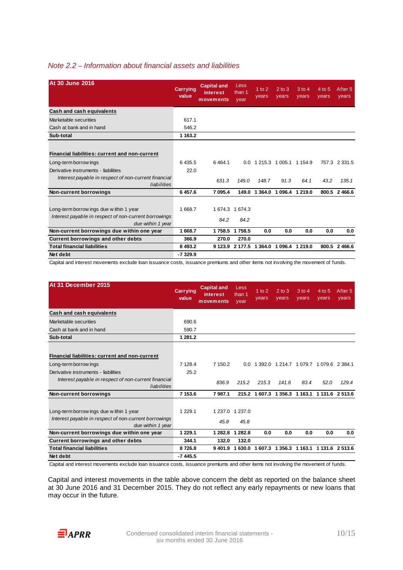## Note 2.2 – Information about financial assets and liabilities

| <b>At 30 June 2016</b>                                                     | <b>Carrying</b><br>value | <b>Capital and</b><br>interest<br>movements | Less<br>than 1<br>year | $1$ to $2$<br>years | $2$ to $3$<br>years     | $3$ to 4<br>years | 4 to 5<br>years | After <sub>5</sub><br>years |
|----------------------------------------------------------------------------|--------------------------|---------------------------------------------|------------------------|---------------------|-------------------------|-------------------|-----------------|-----------------------------|
| Cash and cash equivalents                                                  |                          |                                             |                        |                     |                         |                   |                 |                             |
| Marketable securities                                                      | 617.1                    |                                             |                        |                     |                         |                   |                 |                             |
| Cash at bank and in hand                                                   | 546.2                    |                                             |                        |                     |                         |                   |                 |                             |
| Sub-total                                                                  | 1 1 6 3.2                |                                             |                        |                     |                         |                   |                 |                             |
|                                                                            |                          |                                             |                        |                     |                         |                   |                 |                             |
| Financial liabilities: current and non-current                             |                          |                                             |                        |                     |                         |                   |                 |                             |
| Long-term borrow ings                                                      | 6435.5                   | 6464.1                                      | 0.0                    |                     | 1 215.3 1 005.1 1 154.9 |                   |                 | 757.3 2 331.5               |
| Derivative instruments - liabilities                                       | 22.0                     |                                             |                        |                     |                         |                   |                 |                             |
| Interest payable in respect of non-current financial<br>liabilities        |                          | 631.3                                       | 149.0                  | 148.7               | 91.3                    | 64.1              | 43.2            | 135.1                       |
| Non-current borrowings                                                     | 6 457.6                  | 7 095.4                                     | 149.0                  | 1 3 6 4 .0          | 1 096.4                 | 1 2 1 9 . 0       |                 | 800.5 2466.6                |
|                                                                            |                          |                                             |                        |                     |                         |                   |                 |                             |
| Long-term borrow ings due within 1 year                                    | 1668.7                   | 1 674.3 1 674.3                             |                        |                     |                         |                   |                 |                             |
| Interest payable in respect of non-current borrowings<br>due within 1 year |                          | 84.2                                        | 84.2                   |                     |                         |                   |                 |                             |
| Non-current borrowings due within one year                                 | 1668.7                   | 1758.5                                      | 1758.5                 | 0.0                 | 0.0                     | 0.0               | 0.0             | 0.0                         |
| Current borrowings and other debts                                         | 366.9                    | 270.0                                       | 270.0                  |                     |                         |                   |                 |                             |
| <b>Total financial liabilities</b>                                         | 8 4 9 3.2                | 9 1 2 3 . 9                                 | 2 177.5                | 1 3 6 4 .0          | 1 0 9 6 . 4             | 1 219.0           | 800.5           | 2 4 6 6.6                   |
| Net debt                                                                   | -7329.9                  |                                             |                        |                     |                         |                   |                 |                             |

Capital and interest movements exclude loan issuance costs, issuance premiums and other items not involving the movement of funds.

| At 31 December 2015                                                                                                   | <b>Carrying</b><br>value | <b>Capital and</b><br>interest<br>movements | <b>Less</b><br>than 1<br>year | $1$ to $2$<br>years | $2$ to $3$<br>years | 3 to 4<br>years | 4 to 5<br>years                         | After 5<br>years |
|-----------------------------------------------------------------------------------------------------------------------|--------------------------|---------------------------------------------|-------------------------------|---------------------|---------------------|-----------------|-----------------------------------------|------------------|
| Cash and cash equivalents                                                                                             |                          |                                             |                               |                     |                     |                 |                                         |                  |
| Marketable securities                                                                                                 | 690.6                    |                                             |                               |                     |                     |                 |                                         |                  |
| Cash at bank and in hand                                                                                              | 590.7                    |                                             |                               |                     |                     |                 |                                         |                  |
| Sub-total                                                                                                             | 1 281.2                  |                                             |                               |                     |                     |                 |                                         |                  |
| <b>Financial liabilities: current and non-current</b>                                                                 |                          |                                             |                               |                     |                     |                 |                                         |                  |
| Long-term borrow ings                                                                                                 | 7 1 2 8 . 4              | 7 150.2                                     | $0.0^{\circ}$                 |                     |                     |                 | 1 392.0 1 214.7 1 079.7 1 079.6 2 384.1 |                  |
| Derivative instruments - liabilities                                                                                  | 25.2                     |                                             |                               |                     |                     |                 |                                         |                  |
| Interest payable in respect of non-current financial<br>liabilities                                                   |                          | 836.9                                       | 215.2                         | 215.3               | 141.6               | 83.4            | 52.0                                    | 129.4            |
| Non-current borrowings                                                                                                | 7 153.6                  | 7987.1                                      | 215.2                         | 1 607.3             |                     | 1 356.3 1 163.1 |                                         | 1 131.6 2 513.6  |
| Long-term borrow ings due within 1 year<br>Interest payable in respect of non-current borrowings<br>due within 1 year | 1 2 2 9 . 1              | 45.8                                        | 1 237.0 1 237.0<br>45.8       |                     |                     |                 |                                         |                  |
| Non-current borrowings due within one year                                                                            | 1 229.1                  | 1 2 8 2 . 8                                 | 1 282.8                       | 0.0                 | 0.0                 | 0.0             | 0.0                                     | 0.0              |
| Current borrowings and other debts                                                                                    | 344.1                    | 132.0                                       | 132.0                         |                     |                     |                 |                                         |                  |
| <b>Total financial liabilities</b>                                                                                    | 8726.8                   | 9 4 0 1.9                                   | 1 630.0                       |                     |                     |                 | 1607.3 1356.3 1163.1 1131.6 2513.6      |                  |
| Net debt                                                                                                              | -7 445.5                 |                                             |                               |                     |                     |                 |                                         |                  |

Capital and interest movements exclude loan issuance costs, issuance premiums and other items not involving the movement of funds.

Capital and interest movements in the table above concern the debt as reported on the balance sheet at 30 June 2016 and 31 December 2015. They do not reflect any early repayments or new loans that may occur in the future.

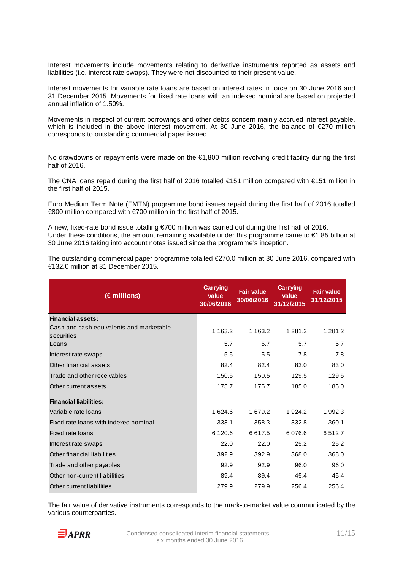Interest movements include movements relating to derivative instruments reported as assets and liabilities (i.e. interest rate swaps). They were not discounted to their present value.

Interest movements for variable rate loans are based on interest rates in force on 30 June 2016 and 31 December 2015. Movements for fixed rate loans with an indexed nominal are based on projected annual inflation of 1.50%.

Movements in respect of current borrowings and other debts concern mainly accrued interest payable, which is included in the above interest movement. At 30 June 2016, the balance of €270 million corresponds to outstanding commercial paper issued.

No drawdowns or repayments were made on the €1,800 million revolving credit facility during the first half of 2016.

The CNA loans repaid during the first half of 2016 totalled €151 million compared with €151 million in the first half of 2015.

Euro Medium Term Note (EMTN) programme bond issues repaid during the first half of 2016 totalled €800 million compared with €700 million in the first half of 2015.

A new, fixed-rate bond issue totalling €700 million was carried out during the first half of 2016. Under these conditions, the amount remaining available under this programme came to  $\epsilon$ 1.85 billion at 30 June 2016 taking into account notes issued since the programme's inception.

The outstanding commercial paper programme totalled €270.0 million at 30 June 2016, compared with €132.0 million at 31 December 2015.

| $(\epsilon$ millions)                                  | <b>Carrying</b><br>value<br>30/06/2016 | <b>Fair value</b><br>30/06/2016 | <b>Carrying</b><br>value<br>31/12/2015 | <b>Fair value</b><br>31/12/2015 |
|--------------------------------------------------------|----------------------------------------|---------------------------------|----------------------------------------|---------------------------------|
| <b>Financial assets:</b>                               |                                        |                                 |                                        |                                 |
| Cash and cash equivalents and marketable<br>securities | 1 1 6 3 . 2                            | 1 1 6 3 . 2                     | 1 2 8 1 .2                             | 1 2 8 1 . 2                     |
| Loans                                                  | 5.7                                    | 5.7                             | 5.7                                    | 5.7                             |
| Interest rate swaps                                    | 5.5                                    | 5.5                             | 7.8                                    | 7.8                             |
| Other financial assets                                 | 82.4                                   | 82.4                            | 83.0                                   | 83.0                            |
| Trade and other receivables                            | 150.5                                  | 150.5                           | 129.5                                  | 129.5                           |
| Other current assets                                   | 175.7                                  | 175.7                           | 185.0                                  | 185.0                           |
| <b>Financial liabilities:</b>                          |                                        |                                 |                                        |                                 |
| Variable rate loans                                    | 1624.6                                 | 1679.2                          | 1924.2                                 | 1992.3                          |
| Fixed rate loans with indexed nominal                  | 333.1                                  | 358.3                           | 332.8                                  | 360.1                           |
| Fixed rate loans                                       | 6 1 2 0.6                              | 6617.5                          | 6 0 7 6 .6                             | 6512.7                          |
| Interest rate swaps                                    | 22.0                                   | 22.0                            | 25.2                                   | 25.2                            |
| Other financial liabilities                            | 392.9                                  | 392.9                           | 368.0                                  | 368.0                           |
| Trade and other payables                               | 92.9                                   | 92.9                            | 96.0                                   | 96.0                            |
| Other non-current liabilities                          | 89.4                                   | 89.4                            | 45.4                                   | 45.4                            |
| Other current liabilities                              | 279.9                                  | 279.9                           | 256.4                                  | 256.4                           |

The fair value of derivative instruments corresponds to the mark-to-market value communicated by the various counterparties.

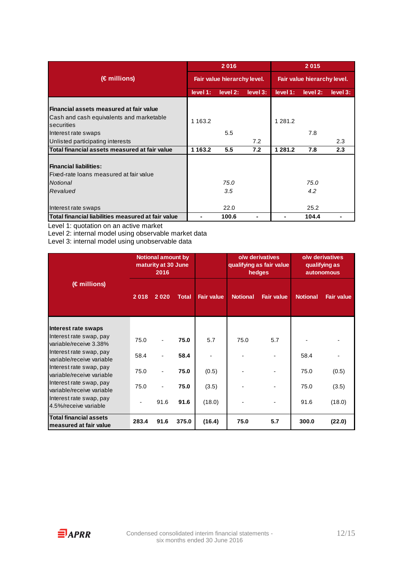|                                                                                                         |             | 2016                        |          | 2015                        |             |          |  |
|---------------------------------------------------------------------------------------------------------|-------------|-----------------------------|----------|-----------------------------|-------------|----------|--|
| (€ millions)                                                                                            |             | Fair value hierarchy level. |          | Fair value hierarchy level. |             |          |  |
|                                                                                                         | level 1:    | level 2:                    | level 3: | level 1:                    | level 2:    | level 3: |  |
| Financial assets measured at fair value<br>Cash and cash equivalents and marketable<br>securities       | 1 1 6 3 . 2 |                             |          | 1 2 8 1 . 2                 |             |          |  |
| Interest rate swaps                                                                                     |             | 5.5                         |          |                             | 7.8         |          |  |
| Unlisted participating interests                                                                        |             |                             | 7.2      |                             |             | 2.3      |  |
| Total financial assets measured at fair value                                                           | 1 1 6 3 . 2 | 5.5                         | 7.2      | 1 281.2                     | 7.8         | 2.3      |  |
| <b>Financial liabilities:</b><br>Fixed-rate loans measured at fair value<br><b>Notional</b><br>Revalued |             | 75.0<br>3.5                 |          |                             | 75.0<br>4.2 |          |  |
| Interest rate swaps                                                                                     |             | 22.0                        |          |                             | 25.2        |          |  |
| Total financial liabilities measured at fair value                                                      |             | 100.6                       |          |                             | 104.4       |          |  |

Level 1: quotation on an active market

Level 2: internal model using observable market data

Level 3: internal model using unobservable data

|                                                         | <b>Notional amount by</b><br>maturity at 30 June<br>2016 |      |              |                   |                 | o/w derivatives<br>qualifying as fair value<br>hedges | o/w derivatives<br>qualifying as<br><b>autonomous</b> |                   |  |
|---------------------------------------------------------|----------------------------------------------------------|------|--------------|-------------------|-----------------|-------------------------------------------------------|-------------------------------------------------------|-------------------|--|
| (€ millions)                                            | 2018                                                     | 2020 | <b>Total</b> | <b>Fair value</b> | <b>Notional</b> | <b>Fair value</b>                                     | <b>Notional</b>                                       | <b>Fair value</b> |  |
| Interest rate swaps                                     |                                                          |      |              |                   |                 |                                                       |                                                       |                   |  |
| Interest rate swap, pay<br>variable/receive 3.38%       | 75.0                                                     |      | 75.0         | 5.7               | 75.0            | 5.7                                                   |                                                       |                   |  |
| Interest rate swap, pay<br>variable/receive variable    | 58.4                                                     |      | 58.4         |                   |                 |                                                       | 58.4                                                  |                   |  |
| Interest rate swap, pay<br>variable/receive variable    | 75.0                                                     |      | 75.0         | (0.5)             |                 |                                                       | 75.0                                                  | (0.5)             |  |
| Interest rate swap, pay<br>variable/receive variable    | 75.0                                                     |      | 75.0         | (3.5)             |                 |                                                       | 75.0                                                  | (3.5)             |  |
| Interest rate swap, pay<br>4.5%/receive variable        |                                                          | 91.6 | 91.6         | (18.0)            |                 |                                                       | 91.6                                                  | (18.0)            |  |
| <b>Total financial assets</b><br>measured at fair value | 283.4                                                    | 91.6 | 375.0        | (16.4)            | 75.0            | 5.7                                                   | 300.0                                                 | (22.0)            |  |

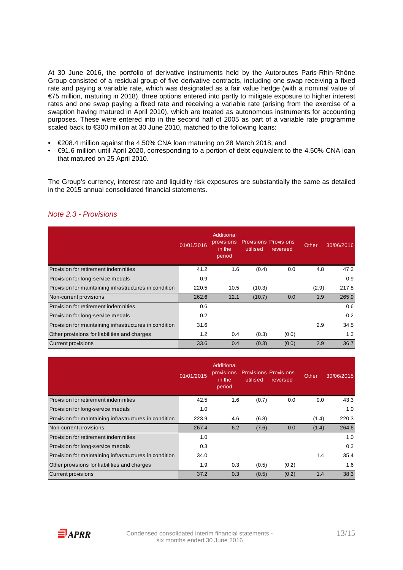At 30 June 2016, the portfolio of derivative instruments held by the Autoroutes Paris-Rhin-Rhône Group consisted of a residual group of five derivative contracts, including one swap receiving a fixed rate and paying a variable rate, which was designated as a fair value hedge (with a nominal value of €75 million, maturing in 2018), three options entered into partly to mitigate exposure to higher interest rates and one swap paying a fixed rate and receiving a variable rate (arising from the exercise of a swaption having matured in April 2010), which are treated as autonomous instruments for accounting purposes. These were entered into in the second half of 2005 as part of a variable rate programme scaled back to €300 million at 30 June 2010, matched to the following loans:

- €208.4 million against the 4.50% CNA loan maturing on 28 March 2018; and
- €91.6 million until April 2020, corresponding to a portion of debt equivalent to the 4.50% CNA loan that matured on 25 April 2010.

The Group's currency, interest rate and liquidity risk exposures are substantially the same as detailed in the 2015 annual consolidated financial statements.

|                                                        | 01/01/2016 | Additional<br>provisions<br>in the<br>period | utilised | <b>Provisions Provisions</b><br>reversed | Other | 30/06/2016 |
|--------------------------------------------------------|------------|----------------------------------------------|----------|------------------------------------------|-------|------------|
| Provision for retirement indemnities                   | 41.2       | 1.6                                          | (0.4)    | 0.0                                      | 4.8   | 47.2       |
| Provision for long-service medals                      | 0.9        |                                              |          |                                          |       | 0.9        |
| Provision for maintaining infrastructures in condition | 220.5      | 10.5                                         | (10.3)   |                                          | (2.9) | 217.8      |
| Non-current provisions                                 | 262.6      | 12.1                                         | (10.7)   | 0.0                                      | 1.9   | 265.9      |
| Provision for retirement indemnities                   | 0.6        |                                              |          |                                          |       | 0.6        |
| Provision for long-service medals                      | 0.2        |                                              |          |                                          |       | 0.2        |
| Provision for maintaining infrastructures in condition | 31.6       |                                              |          |                                          | 2.9   | 34.5       |
| Other provisions for liabilities and charges           | 1.2        | 0.4                                          | (0.3)    | (0.0)                                    |       | 1.3        |
| <b>Current provisions</b>                              | 33.6       | 0.4                                          | (0.3)    | (0.0)                                    | 2.9   | 36.7       |

## Note 2.3 - Provisions

|                                                        | 01/01/2015 | Additional<br>provisions<br>in the<br>period | utilised | <b>Provisions Provisions</b><br>reversed | Other | 30/06/2015 |
|--------------------------------------------------------|------------|----------------------------------------------|----------|------------------------------------------|-------|------------|
| Provision for retirement indemnities                   | 42.5       | 1.6                                          | (0.7)    | 0.0                                      | 0.0   | 43.3       |
| Provision for long-service medals                      | 1.0        |                                              |          |                                          |       | 1.0        |
| Provision for maintaining infrastructures in condition | 223.9      | 4.6                                          | (6.8)    |                                          | (1.4) | 220.3      |
| Non-current provisions                                 | 267.4      | 6.2                                          | (7.6)    | 0.0                                      | (1.4) | 264.6      |
| Provision for retirement indemnities                   | 1.0        |                                              |          |                                          |       | 1.0        |
| Provision for long-service medals                      | 0.3        |                                              |          |                                          |       | 0.3        |
| Provision for maintaining infrastructures in condition | 34.0       |                                              |          |                                          | 1.4   | 35.4       |
| Other provisions for liabilities and charges           | 1.9        | 0.3                                          | (0.5)    | (0.2)                                    |       | 1.6        |
| <b>Current provisions</b>                              | 37.2       | 0.3                                          | (0.5)    | (0.2)                                    | 1.4   | 38.3       |

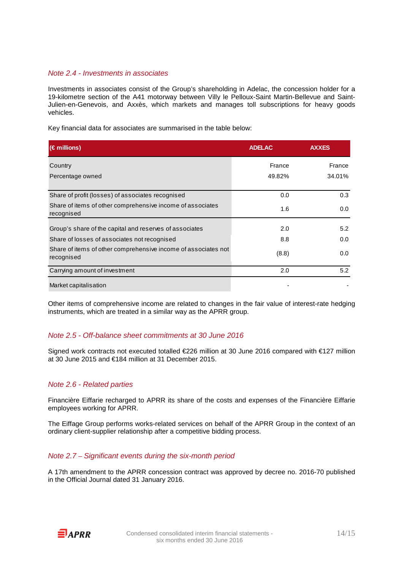#### Note 2.4 - Investments in associates

Investments in associates consist of the Group's shareholding in Adelac, the concession holder for a 19-kilometre section of the A41 motorway between Villy le Pelloux-Saint Martin-Bellevue and Saint-Julien-en-Genevois, and Axxès, which markets and manages toll subscriptions for heavy goods vehicles.

Key financial data for associates are summarised in the table below:

| $(\epsilon$ millions)                                                        | <b>ADELAC</b> | <b>AXXES</b> |
|------------------------------------------------------------------------------|---------------|--------------|
| Country                                                                      | France        | France       |
| Percentage owned                                                             | 49.82%        | 34.01%       |
| Share of profit (losses) of associates recognised                            | 0.0           | 0.3          |
| Share of items of other comprehensive income of associates<br>recognised     | 1.6           | 0.0          |
| Group's share of the capital and reserves of associates                      | 2.0           | 5.2          |
| Share of losses of associates not recognised                                 | 8.8           | 0.0          |
| Share of items of other comprehensive income of associates not<br>recognised | (8.8)         | 0.0          |
| Carrying amount of investment                                                | 2.0           | 5.2          |
| Market capitalisation                                                        |               |              |

Other items of comprehensive income are related to changes in the fair value of interest-rate hedging instruments, which are treated in a similar way as the APRR group.

#### Note 2.5 - Off-balance sheet commitments at 30 June 2016

Signed work contracts not executed totalled €226 million at 30 June 2016 compared with €127 million at 30 June 2015 and €184 million at 31 December 2015.

#### Note 2.6 - Related parties

Financière Eiffarie recharged to APRR its share of the costs and expenses of the Financière Eiffarie employees working for APRR.

The Eiffage Group performs works-related services on behalf of the APRR Group in the context of an ordinary client-supplier relationship after a competitive bidding process.

#### Note 2.7 – Significant events during the six-month period

A 17th amendment to the APRR concession contract was approved by decree no. 2016-70 published in the Official Journal dated 31 January 2016.